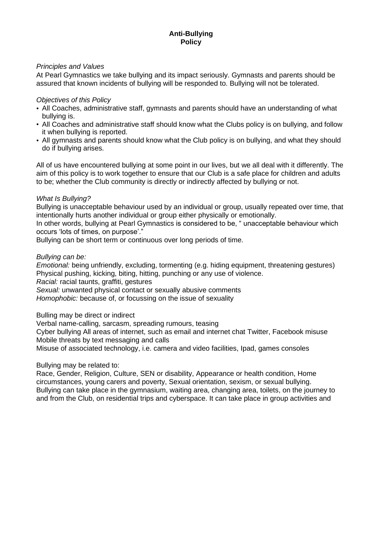## *Principles and Values*

At Pearl Gymnastics we take bullying and its impact seriously. Gymnasts and parents should be assured that known incidents of bullying will be responded to. Bullying will not be tolerated.

#### *Objectives of this Policy*

- All Coaches, administrative staff, gymnasts and parents should have an understanding of what bullying is.
- All Coaches and administrative staff should know what the Clubs policy is on bullying, and follow it when bullying is reported.
- All gymnasts and parents should know what the Club policy is on bullying, and what they should do if bullying arises.

All of us have encountered bullying at some point in our lives, but we all deal with it differently. The aim of this policy is to work together to ensure that our Club is a safe place for children and adults to be; whether the Club community is directly or indirectly affected by bullying or not.

#### *What Is Bullying?*

Bullying is unacceptable behaviour used by an individual or group, usually repeated over time, that intentionally hurts another individual or group either physically or emotionally.

In other words, bullying at Pearl Gymnastics is considered to be, " unacceptable behaviour which occurs 'lots of times, on purpose'."

Bullying can be short term or continuous over long periods of time.

#### *Bullying can be:*

*Emotional:* being unfriendly, excluding, tormenting (e.g. hiding equipment, threatening gestures) Physical pushing, kicking, biting, hitting, punching or any use of violence.

*Racial:* racial taunts, graffiti, gestures

*Sexual:* unwanted physical contact or sexually abusive comments

*Homophobic:* because of, or focussing on the issue of sexuality

Bulling may be direct or indirect

Verbal name-calling, sarcasm, spreading rumours, teasing

Cyber bullying All areas of internet, such as email and internet chat Twitter, Facebook misuse Mobile threats by text messaging and calls

Misuse of associated technology, i.e. camera and video facilities, Ipad, games consoles

## Bullying may be related to:

Race, Gender, Religion, Culture, SEN or disability, Appearance or health condition, Home circumstances, young carers and poverty, Sexual orientation, sexism, or sexual bullying. Bullying can take place in the gymnasium, waiting area, changing area, toilets, on the journey to and from the Club, on residential trips and cyberspace. It can take place in group activities and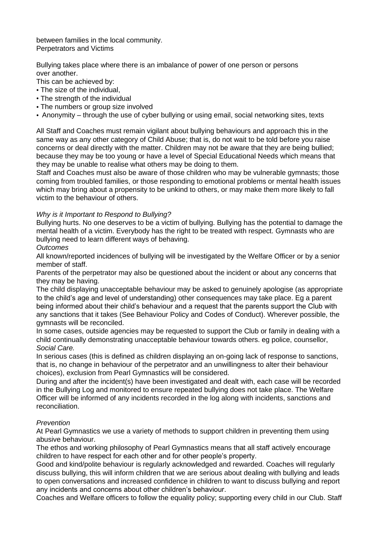between families in the local community. Perpetrators and Victims

Bullying takes place where there is an imbalance of power of one person or persons over another.

This can be achieved by:

- The size of the individual,
- The strength of the individual
- The numbers or group size involved
- Anonymity through the use of cyber bullying or using email, social networking sites, texts

All Staff and Coaches must remain vigilant about bullying behaviours and approach this in the same way as any other category of Child Abuse; that is, do not wait to be told before you raise concerns or deal directly with the matter. Children may not be aware that they are being bullied; because they may be too young or have a level of Special Educational Needs which means that they may be unable to realise what others may be doing to them.

Staff and Coaches must also be aware of those children who may be vulnerable gymnasts; those coming from troubled families, or those responding to emotional problems or mental health issues which may bring about a propensity to be unkind to others, or may make them more likely to fall victim to the behaviour of others.

## *Why is it Important to Respond to Bullying?*

Bullying hurts. No one deserves to be a victim of bullying. Bullying has the potential to damage the mental health of a victim. Everybody has the right to be treated with respect. Gymnasts who are bullying need to learn different ways of behaving.

*Outcomes*

All known/reported incidences of bullying will be investigated by the Welfare Officer or by a senior member of staff.

Parents of the perpetrator may also be questioned about the incident or about any concerns that they may be having.

The child displaying unacceptable behaviour may be asked to genuinely apologise (as appropriate to the child's age and level of understanding) other consequences may take place. Eg a parent being informed about their child's behaviour and a request that the parents support the Club with any sanctions that it takes (See Behaviour Policy and Codes of Conduct). Wherever possible, the gymnasts will be reconciled.

In some cases, outside agencies may be requested to support the Club or family in dealing with a child continually demonstrating unacceptable behaviour towards others. eg police, counsellor, *Social Care.*

In serious cases (this is defined as children displaying an on-going lack of response to sanctions, that is, no change in behaviour of the perpetrator and an unwillingness to alter their behaviour choices), exclusion from Pearl Gymnastics will be considered.

During and after the incident(s) have been investigated and dealt with, each case will be recorded in the Bullying Log and monitored to ensure repeated bullying does not take place. The Welfare Officer will be informed of any incidents recorded in the log along with incidents, sanctions and reconciliation.

## *Prevention*

At Pearl Gymnastics we use a variety of methods to support children in preventing them using abusive behaviour.

The ethos and working philosophy of Pearl Gymnastics means that all staff actively encourage children to have respect for each other and for other people's property.

Good and kind/polite behaviour is regularly acknowledged and rewarded. Coaches will regularly discuss bullying, this will inform children that we are serious about dealing with bullying and leads to open conversations and increased confidence in children to want to discuss bullying and report any incidents and concerns about other children's behaviour.

Coaches and Welfare officers to follow the equality policy; supporting every child in our Club. Staff